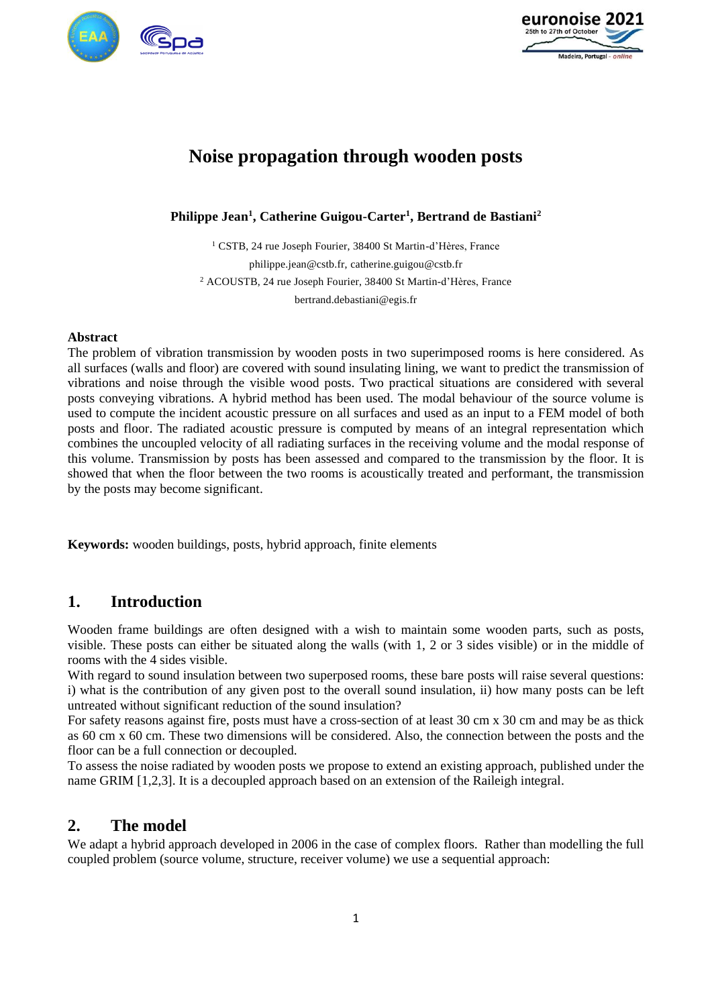



# **Noise propagation through wooden posts**

**Philippe Jean<sup>1</sup> , Catherine Guigou-Carter<sup>1</sup> , Bertrand de Bastiani<sup>2</sup>**

<sup>1</sup> CSTB, 24 rue Joseph Fourier, 38400 St Martin-d'Hères, France philippe.jean@cstb.fr, catherine.guigou@cstb.fr <sup>2</sup> ACOUSTB, 24 rue Joseph Fourier, 38400 St Martin-d'Hères, France bertrand.debastiani@egis.fr

#### **Abstract**

The problem of vibration transmission by wooden posts in two superimposed rooms is here considered. As all surfaces (walls and floor) are covered with sound insulating lining, we want to predict the transmission of vibrations and noise through the visible wood posts. Two practical situations are considered with several posts conveying vibrations. A hybrid method has been used. The modal behaviour of the source volume is used to compute the incident acoustic pressure on all surfaces and used as an input to a FEM model of both posts and floor. The radiated acoustic pressure is computed by means of an integral representation which combines the uncoupled velocity of all radiating surfaces in the receiving volume and the modal response of this volume. Transmission by posts has been assessed and compared to the transmission by the floor. It is showed that when the floor between the two rooms is acoustically treated and performant, the transmission by the posts may become significant.

**Keywords:** wooden buildings, posts, hybrid approach, finite elements

### **1. Introduction**

Wooden frame buildings are often designed with a wish to maintain some wooden parts, such as posts, visible. These posts can either be situated along the walls (with 1, 2 or 3 sides visible) or in the middle of rooms with the 4 sides visible.

With regard to sound insulation between two superposed rooms, these bare posts will raise several questions: i) what is the contribution of any given post to the overall sound insulation, ii) how many posts can be left untreated without significant reduction of the sound insulation?

For safety reasons against fire, posts must have a cross-section of at least 30 cm x 30 cm and may be as thick as 60 cm x 60 cm. These two dimensions will be considered. Also, the connection between the posts and the floor can be a full connection or decoupled.

To assess the noise radiated by wooden posts we propose to extend an existing approach, published under the name GRIM [1,2,3]. It is a decoupled approach based on an extension of the Raileigh integral.

### **2. The model**

We adapt a hybrid approach developed in 2006 in the case of complex floors. Rather than modelling the full coupled problem (source volume, structure, receiver volume) we use a sequential approach: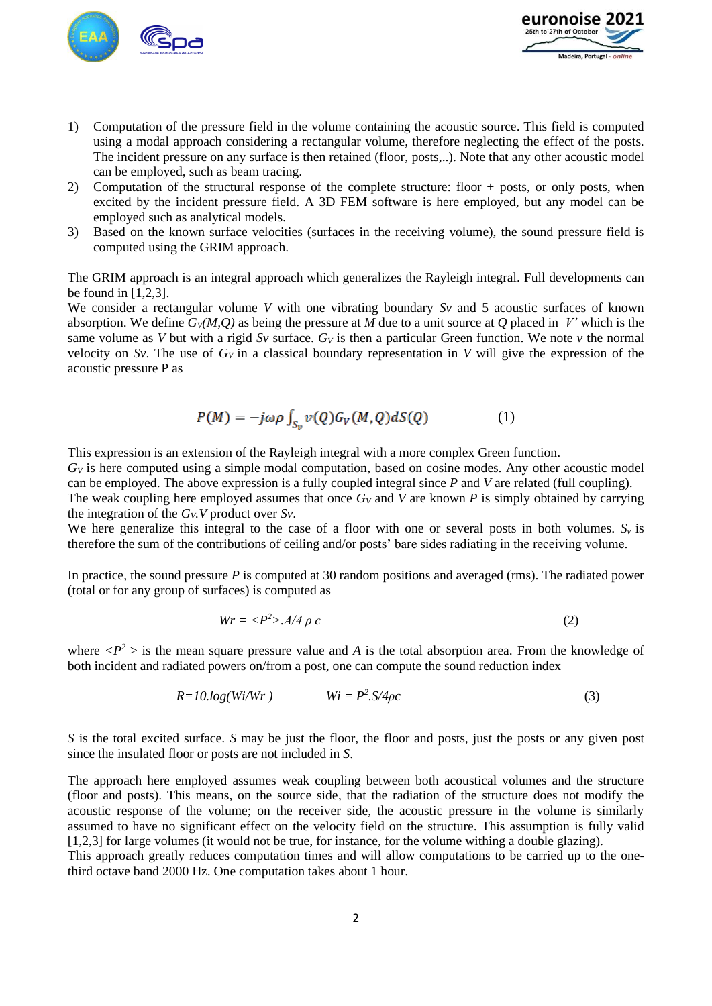



- 1) Computation of the pressure field in the volume containing the acoustic source. This field is computed using a modal approach considering a rectangular volume, therefore neglecting the effect of the posts. The incident pressure on any surface is then retained (floor, posts,..). Note that any other acoustic model can be employed, such as beam tracing.
- 2) Computation of the structural response of the complete structure: floor + posts, or only posts, when excited by the incident pressure field. A 3D FEM software is here employed, but any model can be employed such as analytical models.
- 3) Based on the known surface velocities (surfaces in the receiving volume), the sound pressure field is computed using the GRIM approach.

The GRIM approach is an integral approach which generalizes the Rayleigh integral. Full developments can be found in [1,2,3].

We consider a rectangular volume *V* with one vibrating boundary *Sv* and 5 acoustic surfaces of known absorption. We define *GV(M,Q)* as being the pressure at *M* due to a unit source at *Q* placed in *V'* which is the same volume as *V* but with a rigid *Sv* surface.  $G_V$  is then a particular Green function. We note  $v$  the normal velocity on *Sv*. The use of  $G_V$  in a classical boundary representation in *V* will give the expression of the acoustic pressure P as

$$
P(M) = -j\omega\rho \int_{S_n} v(Q)G_V(M,Q)dS(Q)
$$
 (1)

This expression is an extension of the Rayleigh integral with a more complex Green function.

 $G_V$  is here computed using a simple modal computation, based on cosine modes. Any other acoustic model can be employed. The above expression is a fully coupled integral since *P* and *V* are related (full coupling).

The weak coupling here employed assumes that once *G<sup>V</sup>* and *V* are known *P* is simply obtained by carrying the integration of the  $G_V$ *V* product over  $S_V$ .

We here generalize this integral to the case of a floor with one or several posts in both volumes.  $S<sub>v</sub>$  is therefore the sum of the contributions of ceiling and/or posts' bare sides radiating in the receiving volume.

In practice*,* the sound pressure *P* is computed at 30 random positions and averaged (rms). The radiated power (total or for any group of surfaces) is computed as

$$
Wr = \langle P^2 \rangle . A/4 \rho c \tag{2}
$$

where  $\langle P^2 \rangle$  is the mean square pressure value and *A* is the total absorption area. From the knowledge of both incident and radiated powers on/from a post, one can compute the sound reduction index

$$
R = 10 \cdot \log(Wi/Wr) \qquad Wi = P^2 \cdot S/4\rho c \tag{3}
$$

*S* is the total excited surface. *S* may be just the floor, the floor and posts, just the posts or any given post since the insulated floor or posts are not included in *S*.

The approach here employed assumes weak coupling between both acoustical volumes and the structure (floor and posts). This means, on the source side, that the radiation of the structure does not modify the acoustic response of the volume; on the receiver side, the acoustic pressure in the volume is similarly assumed to have no significant effect on the velocity field on the structure. This assumption is fully valid [1,2,3] for large volumes (it would not be true, for instance, for the volume withing a double glazing).

This approach greatly reduces computation times and will allow computations to be carried up to the onethird octave band 2000 Hz. One computation takes about 1 hour.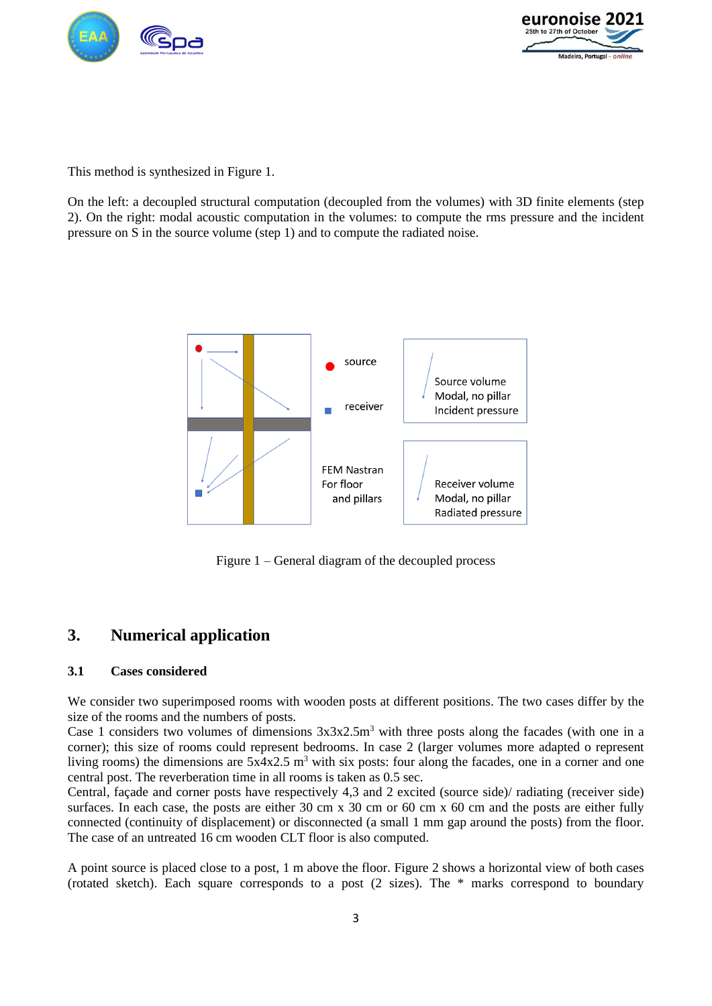



This method is synthesized in Figure 1.

On the left: a decoupled structural computation (decoupled from the volumes) with 3D finite elements (step 2). On the right: modal acoustic computation in the volumes: to compute the rms pressure and the incident pressure on S in the source volume (step 1) and to compute the radiated noise.



Figure 1 – General diagram of the decoupled process

## **3. Numerical application**

### **3.1 Cases considered**

We consider two superimposed rooms with wooden posts at different positions. The two cases differ by the size of the rooms and the numbers of posts.

Case 1 considers two volumes of dimensions  $3x3x2.5m<sup>3</sup>$  with three posts along the facades (with one in a corner); this size of rooms could represent bedrooms. In case 2 (larger volumes more adapted o represent living rooms) the dimensions are  $5x4x2.5$  m<sup>3</sup> with six posts: four along the facades, one in a corner and one central post. The reverberation time in all rooms is taken as 0.5 sec.

Central, façade and corner posts have respectively 4,3 and 2 excited (source side)/ radiating (receiver side) surfaces. In each case, the posts are either 30 cm x 30 cm or 60 cm x 60 cm and the posts are either fully connected (continuity of displacement) or disconnected (a small 1 mm gap around the posts) from the floor. The case of an untreated 16 cm wooden CLT floor is also computed.

A point source is placed close to a post, 1 m above the floor. Figure 2 shows a horizontal view of both cases (rotated sketch). Each square corresponds to a post (2 sizes). The \* marks correspond to boundary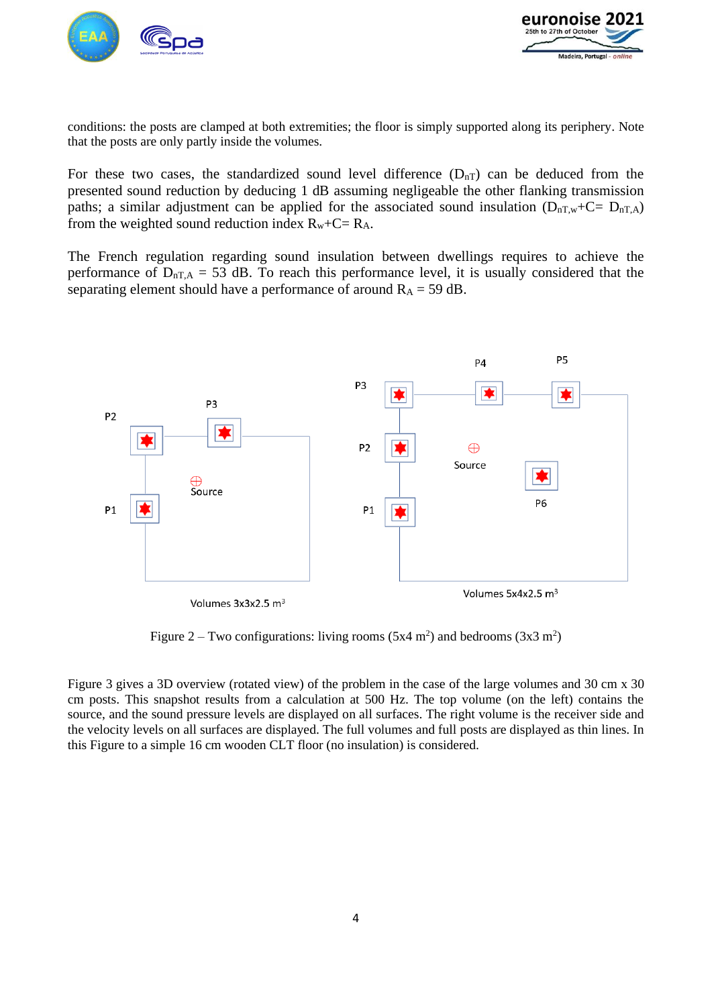



conditions: the posts are clamped at both extremities; the floor is simply supported along its periphery. Note that the posts are only partly inside the volumes.

For these two cases, the standardized sound level difference  $(D_{nT})$  can be deduced from the presented sound reduction by deducing 1 dB assuming negligeable the other flanking transmission paths; a similar adjustment can be applied for the associated sound insulation  $(D_{nT,w}+C=D_{nT,A})$ from the weighted sound reduction index  $R_w + C = R_A$ .

The French regulation regarding sound insulation between dwellings requires to achieve the performance of  $D_{nT,A} = 53$  dB. To reach this performance level, it is usually considered that the separating element should have a performance of around  $R_A = 59$  dB.



Figure 2 – Two configurations: living rooms  $(5x4 \text{ m}^2)$  and bedrooms  $(3x3 \text{ m}^2)$ 

Figure 3 gives a 3D overview (rotated view) of the problem in the case of the large volumes and 30 cm x 30 cm posts. This snapshot results from a calculation at 500 Hz. The top volume (on the left) contains the source, and the sound pressure levels are displayed on all surfaces. The right volume is the receiver side and the velocity levels on all surfaces are displayed. The full volumes and full posts are displayed as thin lines. In this Figure to a simple 16 cm wooden CLT floor (no insulation) is considered.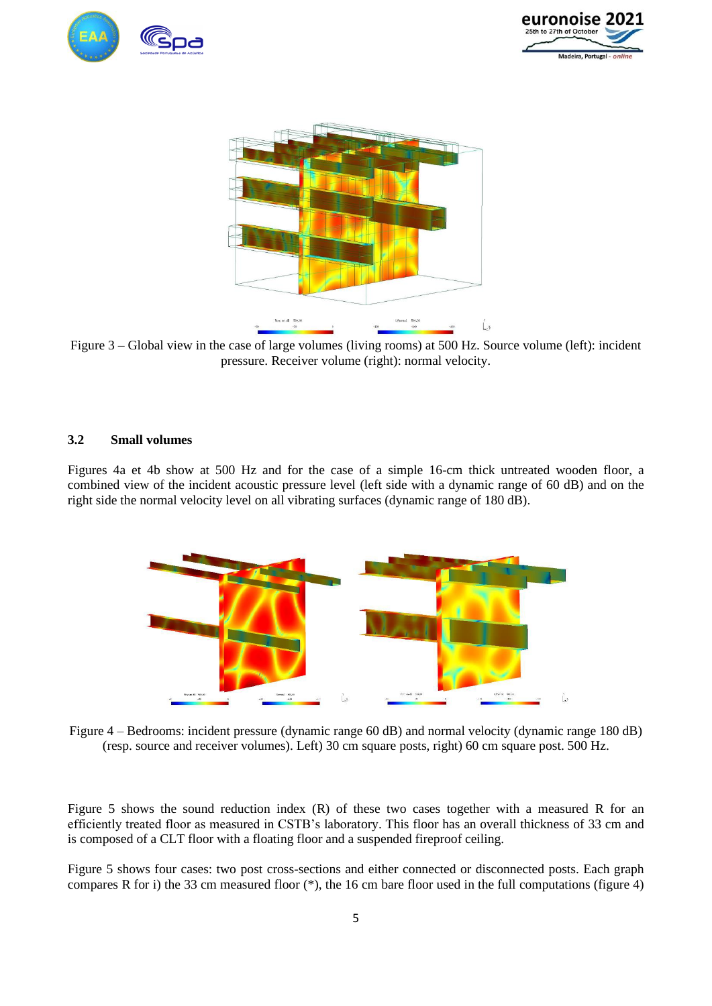





Figure 3 – Global view in the case of large volumes (living rooms) at 500 Hz. Source volume (left): incident pressure. Receiver volume (right): normal velocity.

#### **3.2 Small volumes**

Figures 4a et 4b show at 500 Hz and for the case of a simple 16-cm thick untreated wooden floor, a combined view of the incident acoustic pressure level (left side with a dynamic range of 60 dB) and on the right side the normal velocity level on all vibrating surfaces (dynamic range of 180 dB).



Figure 4 – Bedrooms: incident pressure (dynamic range 60 dB) and normal velocity (dynamic range 180 dB) (resp. source and receiver volumes). Left) 30 cm square posts, right) 60 cm square post. 500 Hz.

Figure 5 shows the sound reduction index (R) of these two cases together with a measured R for an efficiently treated floor as measured in CSTB's laboratory. This floor has an overall thickness of 33 cm and is composed of a CLT floor with a floating floor and a suspended fireproof ceiling.

Figure 5 shows four cases: two post cross-sections and either connected or disconnected posts. Each graph compares R for i) the 33 cm measured floor  $(*)$ , the 16 cm bare floor used in the full computations (figure 4)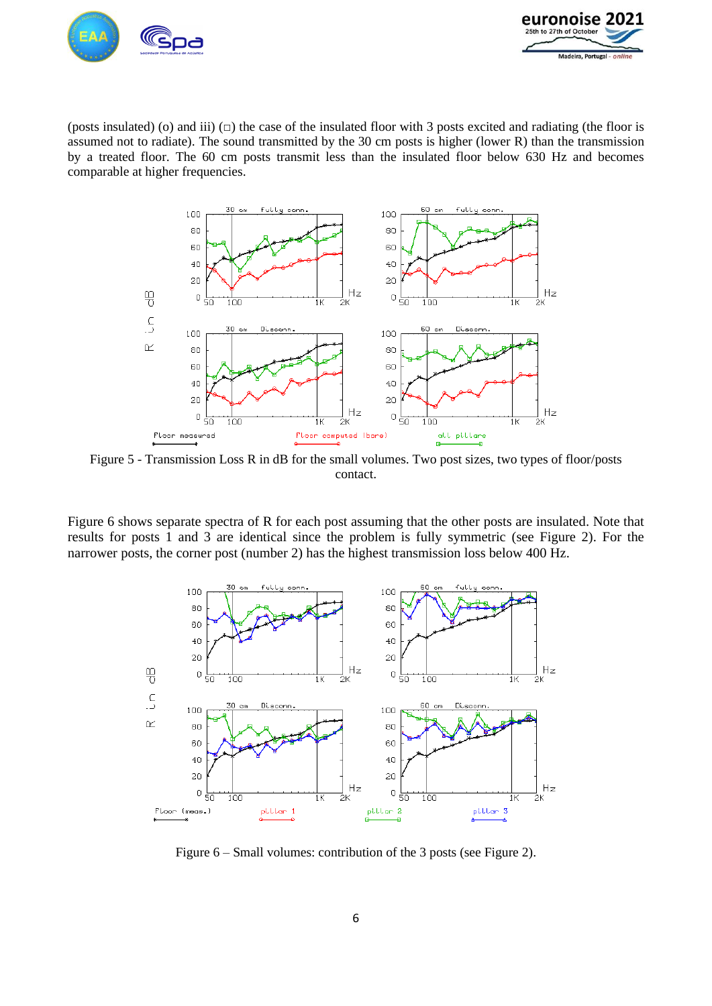



(posts insulated) (o) and iii)  $\Box$ ) the case of the insulated floor with 3 posts excited and radiating (the floor is assumed not to radiate). The sound transmitted by the 30 cm posts is higher (lower R) than the transmission by a treated floor. The 60 cm posts transmit less than the insulated floor below 630 Hz and becomes comparable at higher frequencies.



Figure 5 - Transmission Loss R in dB for the small volumes. Two post sizes, two types of floor/posts contact.

Figure 6 shows separate spectra of R for each post assuming that the other posts are insulated. Note that results for posts 1 and 3 are identical since the problem is fully symmetric (see Figure 2). For the narrower posts, the corner post (number 2) has the highest transmission loss below 400 Hz.



Figure 6 – Small volumes: contribution of the 3 posts (see Figure 2).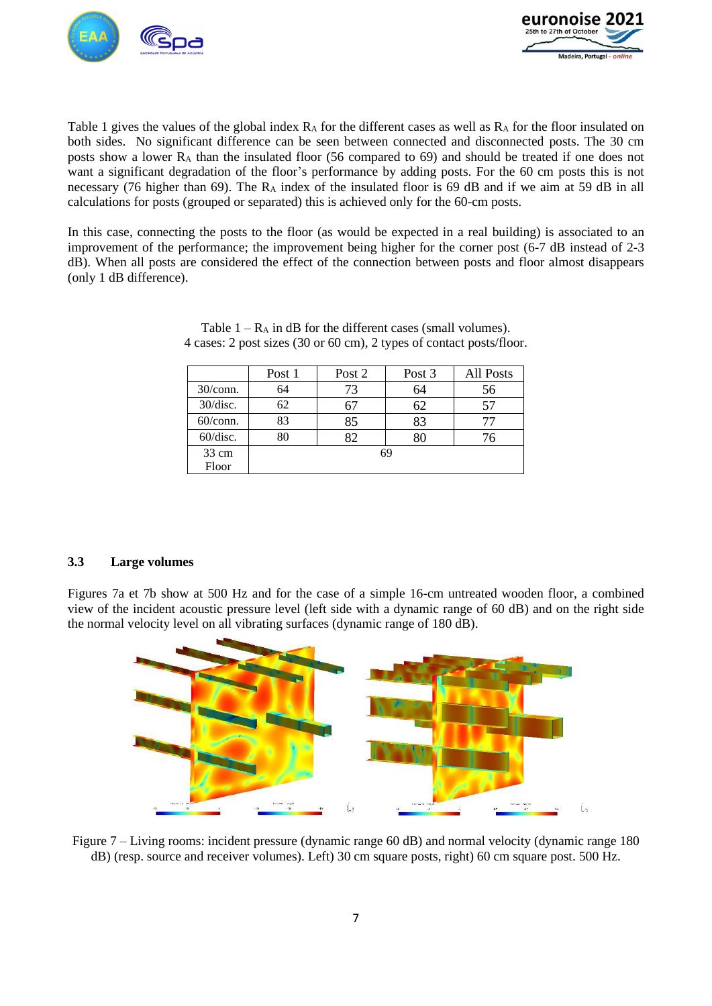



Table 1 gives the values of the global index  $R_A$  for the different cases as well as  $R_A$  for the floor insulated on both sides. No significant difference can be seen between connected and disconnected posts. The 30 cm posts show a lower  $R_A$  than the insulated floor (56 compared to 69) and should be treated if one does not want a significant degradation of the floor's performance by adding posts. For the 60 cm posts this is not necessary (76 higher than 69). The R<sub>A</sub> index of the insulated floor is 69 dB and if we aim at 59 dB in all calculations for posts (grouped or separated) this is achieved only for the 60-cm posts.

In this case, connecting the posts to the floor (as would be expected in a real building) is associated to an improvement of the performance; the improvement being higher for the corner post (6-7 dB instead of 2-3 dB). When all posts are considered the effect of the connection between posts and floor almost disappears (only 1 dB difference).

|             | Post 1 | Post 2<br>Post 3 |    | All Posts |  |  |
|-------------|--------|------------------|----|-----------|--|--|
| $30$ /conn. | 64     | 73               | 64 | 56        |  |  |
| 30/disc.    | 62     | 67               |    | 57        |  |  |
| $60$ /conn. | 83     | 85               | 83 |           |  |  |
| 60/disc.    |        | 82               |    | 76        |  |  |
| 33 cm       | 69     |                  |    |           |  |  |
| Floor       |        |                  |    |           |  |  |

| Table $1 - R_A$ in dB for the different cases (small volumes).       |  |
|----------------------------------------------------------------------|--|
| 4 cases: 2 post sizes (30 or 60 cm), 2 types of contact posts/floor. |  |

#### **3.3 Large volumes**

Figures 7a et 7b show at 500 Hz and for the case of a simple 16-cm untreated wooden floor, a combined view of the incident acoustic pressure level (left side with a dynamic range of 60 dB) and on the right side the normal velocity level on all vibrating surfaces (dynamic range of 180 dB).



Figure 7 – Living rooms: incident pressure (dynamic range 60 dB) and normal velocity (dynamic range 180 dB) (resp. source and receiver volumes). Left) 30 cm square posts, right) 60 cm square post. 500 Hz.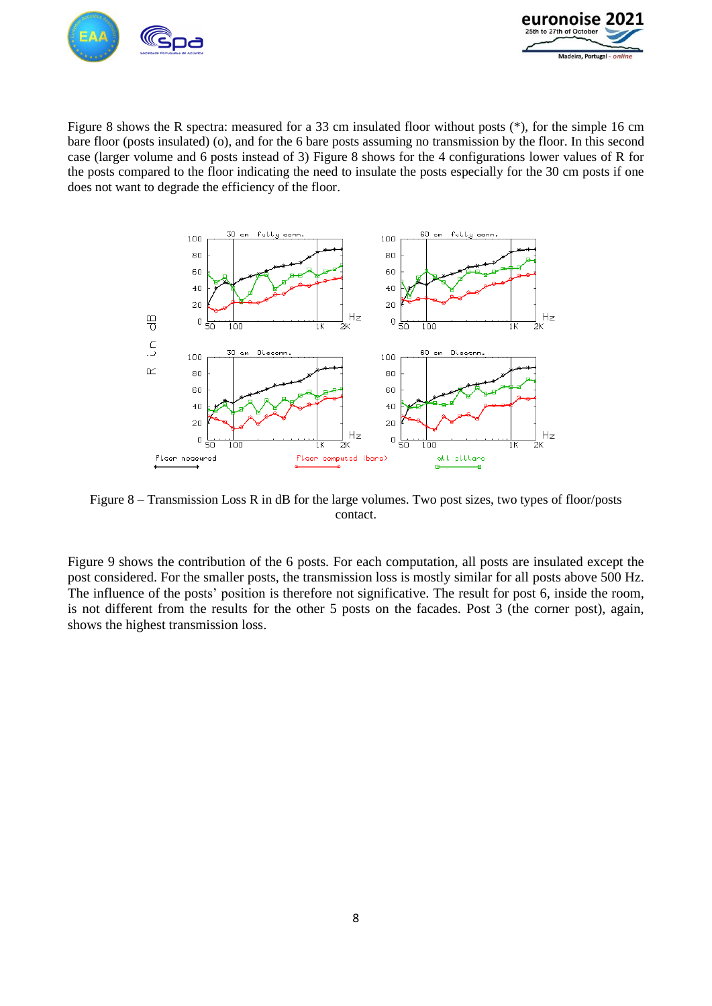



Figure 8 shows the R spectra: measured for a 33 cm insulated floor without posts (\*), for the simple 16 cm bare floor (posts insulated) (o), and for the 6 bare posts assuming no transmission by the floor. In this second case (larger volume and 6 posts instead of 3) Figure 8 shows for the 4 configurations lower values of R for the posts compared to the floor indicating the need to insulate the posts especially for the 30 cm posts if one does not want to degrade the efficiency of the floor.



Figure 8 – Transmission Loss R in dB for the large volumes. Two post sizes, two types of floor/posts contact.

Figure 9 shows the contribution of the 6 posts. For each computation, all posts are insulated except the post considered. For the smaller posts, the transmission loss is mostly similar for all posts above 500 Hz. The influence of the posts' position is therefore not significative. The result for post 6, inside the room, is not different from the results for the other 5 posts on the facades. Post 3 (the corner post), again, shows the highest transmission loss.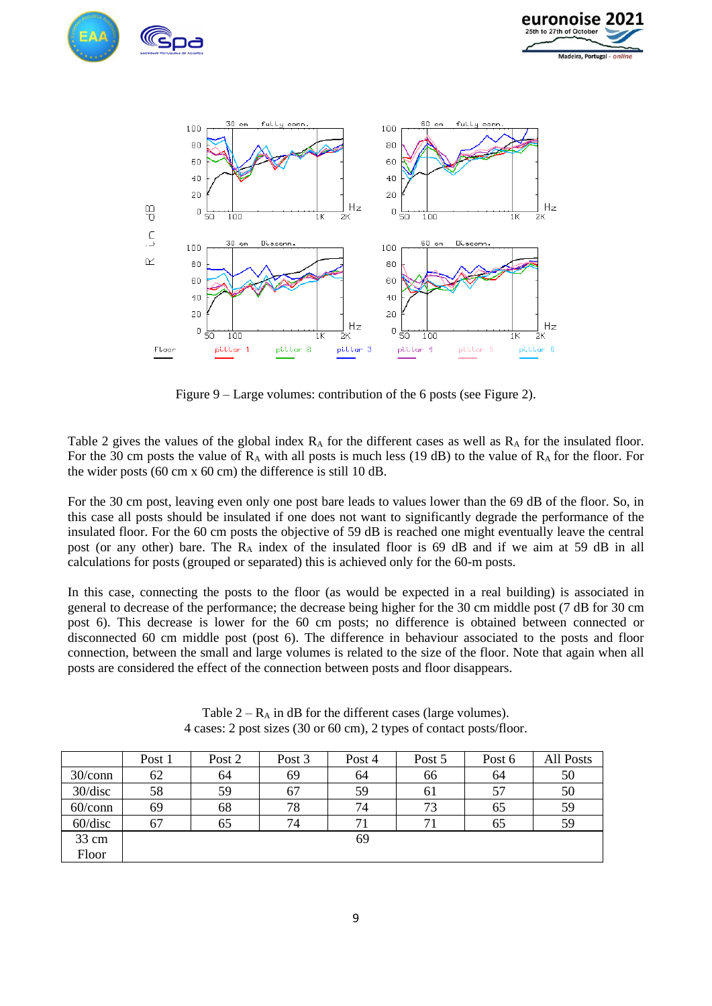





Figure 9 – Large volumes: contribution of the 6 posts (see Figure 2).

Table 2 gives the values of the global index  $R_A$  for the different cases as well as  $R_A$  for the insulated floor. For the 30 cm posts the value of  $R_A$  with all posts is much less (19 dB) to the value of  $R_A$  for the floor. For the wider posts (60 cm x 60 cm) the difference is still 10 dB.

For the 30 cm post, leaving even only one post bare leads to values lower than the 69 dB of the floor. So, in this case all posts should be insulated if one does not want to significantly degrade the performance of the insulated floor. For the 60 cm posts the objective of 59 dB is reached one might eventually leave the central post (or any other) bare. The  $R_A$  index of the insulated floor is 69 dB and if we aim at 59 dB in all calculations for posts (grouped or separated) this is achieved only for the 60-m posts.

In this case, connecting the posts to the floor (as would be expected in a real building) is associated in general to decrease of the performance; the decrease being higher for the 30 cm middle post (7 dB for 30 cm post 6). This decrease is lower for the 60 cm posts; no difference is obtained between connected or disconnected 60 cm middle post (post 6). The difference in behaviour associated to the posts and floor connection, between the small and large volumes is related to the size of the floor. Note that again when all posts are considered the effect of the connection between posts and floor disappears.

|            | Post 1 | Post 2 | Post 3 | Post 4 | Post 5 | Post 6 | All Posts |
|------------|--------|--------|--------|--------|--------|--------|-----------|
| $30/c$ onn | 62     | 64     | 69     | 64     | 66     | 64     | 50        |
| 30/disc    | 58     | 59     | 67     | 59     | 61     | 57     | 50        |
| $60$ /conn | 69     | 68     | 78     | 74     | 73     | 65     | 59        |
| 60/disc    | 67     | 65     | 74     | 71     | 71     | 65     | 59        |
| 33 cm      |        |        |        | 69     |        |        |           |
| Floor      |        |        |        |        |        |        |           |

Table  $2 - R_A$  in dB for the different cases (large volumes). 4 cases: 2 post sizes (30 or 60 cm), 2 types of contact posts/floor.